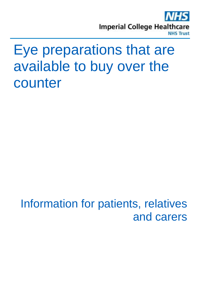

# Eye preparations that are available to buy over the counter

Information for patients, relatives and carers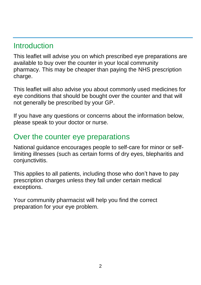### **Introduction**

This leaflet will advise you on which prescribed eye preparations are available to buy over the counter in your local community pharmacy. This may be cheaper than paying the NHS prescription charge.

This leaflet will also advise you about commonly used medicines for eye conditions that should be bought over the counter and that will not generally be prescribed by your GP.

If you have any questions or concerns about the information below, please speak to your doctor or nurse.

## Over the counter eye preparations

National guidance encourages people to self-care for minor or selflimiting illnesses (such as certain forms of dry eyes, blepharitis and conjunctivitis.

This applies to all patients, including those who don't have to pay prescription charges unless they fall under certain medical exceptions.

Your community pharmacist will help you find the correct preparation for your eye problem.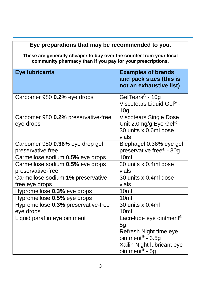#### **Eye preparations that may be recommended to you.**

**These are generally cheaper to buy over the counter from your local community pharmacy than if you pay for your prescriptions.**

| <b>Eye lubricants</b>                                | <b>Examples of brands</b><br>and pack sizes (this is<br>not an exhaustive list)                                                                                    |
|------------------------------------------------------|--------------------------------------------------------------------------------------------------------------------------------------------------------------------|
| Carbomer 980 0.2% eye drops                          | GelTears <sup>®</sup> - 10g<br>Viscotears Liquid Gel® -<br>10 <sub>q</sub>                                                                                         |
| Carbomer 980 0.2% preservative-free<br>eye drops     | <b>Viscotears Single Dose</b><br>Unit 2.0mg/g Eye Gel® -<br>30 units x 0.6ml dose<br>vials                                                                         |
| Carbomer 980 0.36% eye drop gel<br>preservative free | Blephagel 0.36% eye gel<br>preservative free® - 30g                                                                                                                |
| Carmellose sodium 0.5% eye drops                     | 10ml                                                                                                                                                               |
| Carmellose sodium 0.5% eye drops                     | 30 units x 0.4ml dose                                                                                                                                              |
| preservative-free                                    | vials                                                                                                                                                              |
| Carmellose sodium 1% preservative-<br>free eye drops | 30 units x 0.4ml dose<br>vials                                                                                                                                     |
| Hypromellose 0.3% eye drops                          | 10 <sub>ml</sub>                                                                                                                                                   |
| Hypromellose 0.5% eye drops                          | 10 <sub>ml</sub>                                                                                                                                                   |
| Hypromellose 0.3% preservative-free<br>eye drops     | 30 units x 0.4ml<br>10 <sub>ml</sub>                                                                                                                               |
| Liquid paraffin eye ointment                         | Lacri-lube eye ointment <sup>®</sup><br>5g<br>Refresh Night time eye<br>ointment <sup>®</sup> - $3.5g$<br>Xailin Night lubricant eye<br>ointment <sup>®</sup> - 5g |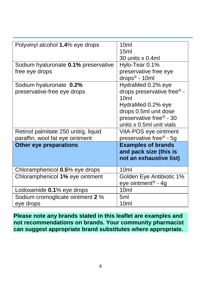| Polyvinyl alcohol 1.4% eye drops     | 10ml                                   |
|--------------------------------------|----------------------------------------|
|                                      | 15ml                                   |
|                                      | 30 units x 0.4ml                       |
| Sodium hyaluronate 0.1% preservative | Hylo-Tear 0.1%                         |
| free eye drops                       | preservative free eye                  |
|                                      | drops <sup>®</sup> - 10ml              |
| Sodium hyaluronate 0.2%              | HydraMed 0.2% eye                      |
| preservative-free eye drops          | drops preservative free <sup>®</sup> - |
|                                      | 10 <sub>ml</sub>                       |
|                                      | HydraMed 0.2% eye                      |
|                                      | drops 0.5ml unit dose                  |
|                                      | preservative free <sup>®</sup> - 30    |
|                                      | units x 0.5ml unit vials               |
| Retinol palmitate 250 unit/g, liquid | VitA-POS eye ointment                  |
| paraffin, wool fat eye ointment      | preservative free <sup>®</sup> - 5g    |
| <b>Other eye preparations</b>        | <b>Examples of brands</b>              |
|                                      | and pack size (this is                 |
|                                      | not an exhaustive list)                |
|                                      |                                        |
| Chloramphenicol 0.5% eye drops       | 10 <sub>ml</sub>                       |
| Chloramphenicol 1% eye ointment      | Golden Eye Antibiotic 1%               |
|                                      | eye ointment <sup>®</sup> - 4g         |
| Lodoxamide 0.1% eye drops            | 10ml                                   |
| Sodium cromoglicate ointment 2 %     | 5ml                                    |
| eye drops                            | 10ml                                   |

**Please note any brands stated in this leaflet are examples and not recommendations on brands. Your community pharmacist can suggest appropriate brand substitutes where appropriate.**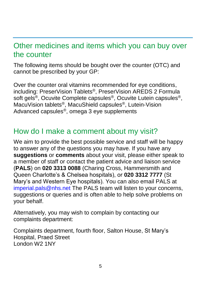### Other medicines and items which you can buy over the counter

The following items should be bought over the counter (OTC) and cannot be prescribed by your GP:

Over the counter oral vitamins recommended for eye conditions, including: PreserVision Tablets®, PreserVision AREDS 2 Formula soft gels<sup>®</sup>, Ocuvite Complete capsules<sup>®</sup>, Ocuvite Lutein capsules<sup>®</sup>, MacuVision tablets®, MacuShield capsules®, Lutein-Vision Advanced capsules®, omega 3 eye supplements

### How do I make a comment about my visit?

We aim to provide the best possible service and staff will be happy to answer any of the questions you may have. If you have any **suggestions** or **comments** about your visit, please either speak to a member of staff or contact the patient advice and liaison service (**PALS**) on **020 3313 0088** (Charing Cross, Hammersmith and Queen Charlotte's & Chelsea hospitals), or **020 3312 7777** (St Mary's and Western Eye hospitals). You can also email PALS at [imperial.pals@nhs.net](mailto:imperial.pals@nhs.net) The PALS team will listen to your concerns, suggestions or queries and is often able to help solve problems on your behalf.

Alternatively, you may wish to complain by contacting our complaints department:

Complaints department, fourth floor, Salton House, St Mary's Hospital, Praed Street London W2 1NY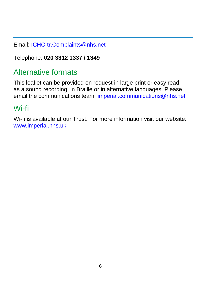Email: [ICHC-tr.Complaints@nhs.net](mailto:ICHC-tr.Complaints@nhs.net)

Telephone: **020 3312 1337 / 1349** 

## Alternative formats

This leaflet can be provided on request in large print or easy read, as a sound recording, in Braille or in alternative languages. Please email the communications team: [imperial.communications@nhs.net](mailto:imperial.communications@nhs.net)

## Wi-fi

Wi-fi is available at our Trust. For more information visit our website: [www.imperial.nhs.uk](http://www.imperial.nhs.uk/)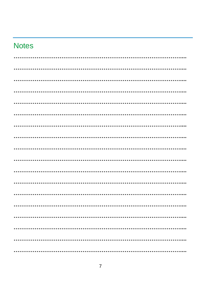## **Notes**